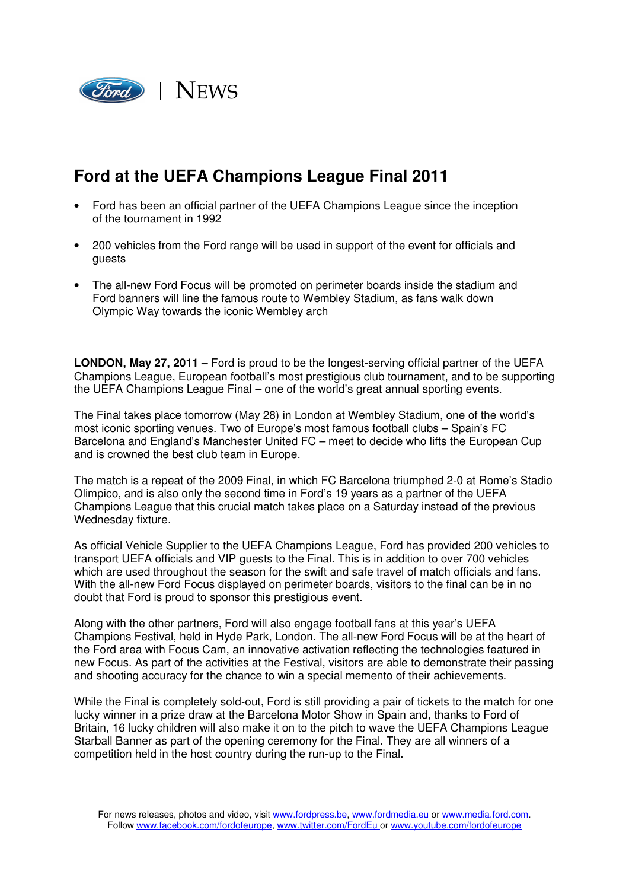

# **Ford at the UEFA Champions League Final 2011**

- Ford has been an official partner of the UEFA Champions League since the inception of the tournament in 1992
- 200 vehicles from the Ford range will be used in support of the event for officials and guests
- The all-new Ford Focus will be promoted on perimeter boards inside the stadium and Ford banners will line the famous route to Wembley Stadium, as fans walk down Olympic Way towards the iconic Wembley arch

**LONDON, May 27, 2011 –** Ford is proud to be the longest-serving official partner of the UEFA Champions League, European football's most prestigious club tournament, and to be supporting the UEFA Champions League Final – one of the world's great annual sporting events.

The Final takes place tomorrow (May 28) in London at Wembley Stadium, one of the world's most iconic sporting venues. Two of Europe's most famous football clubs – Spain's FC Barcelona and England's Manchester United FC – meet to decide who lifts the European Cup and is crowned the best club team in Europe.

The match is a repeat of the 2009 Final, in which FC Barcelona triumphed 2-0 at Rome's Stadio Olimpico, and is also only the second time in Ford's 19 years as a partner of the UEFA Champions League that this crucial match takes place on a Saturday instead of the previous Wednesday fixture.

As official Vehicle Supplier to the UEFA Champions League, Ford has provided 200 vehicles to transport UEFA officials and VIP guests to the Final. This is in addition to over 700 vehicles which are used throughout the season for the swift and safe travel of match officials and fans. With the all-new Ford Focus displayed on perimeter boards, visitors to the final can be in no doubt that Ford is proud to sponsor this prestigious event.

Along with the other partners, Ford will also engage football fans at this year's UEFA Champions Festival, held in Hyde Park, London. The all-new Ford Focus will be at the heart of the Ford area with Focus Cam, an innovative activation reflecting the technologies featured in new Focus. As part of the activities at the Festival, visitors are able to demonstrate their passing and shooting accuracy for the chance to win a special memento of their achievements.

While the Final is completely sold-out, Ford is still providing a pair of tickets to the match for one lucky winner in a prize draw at the Barcelona Motor Show in Spain and, thanks to Ford of Britain, 16 lucky children will also make it on to the pitch to wave the UEFA Champions League Starball Banner as part of the opening ceremony for the Final. They are all winners of a competition held in the host country during the run-up to the Final.

For news releases, photos and video, visit www.fordpress.be, www.fordmedia.eu or www.media.ford.com. Follow www.facebook.com/fordofeurope, www.twitter.com/FordEu or www.youtube.com/fordofeurope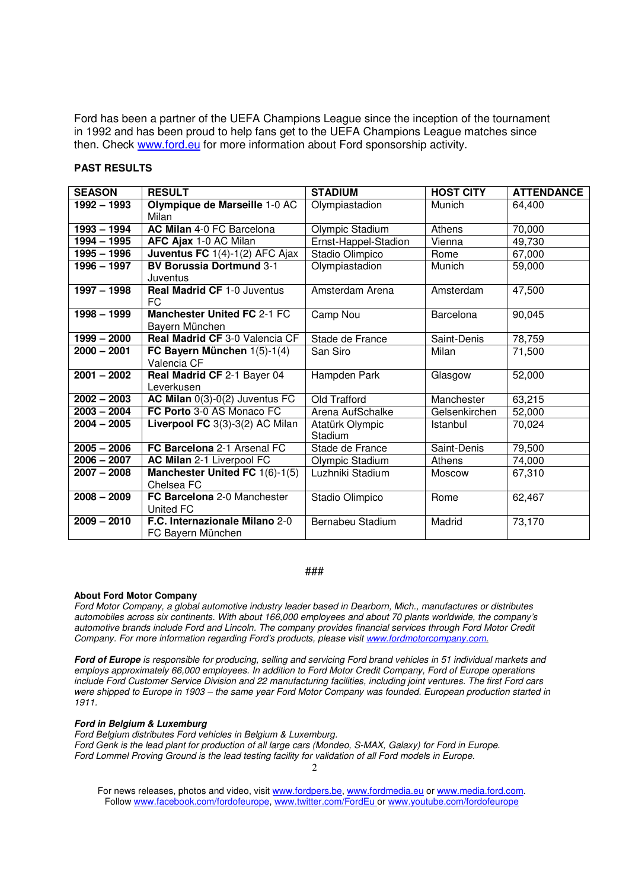Ford has been a partner of the UEFA Champions League since the inception of the tournament in 1992 and has been proud to help fans get to the UEFA Champions League matches since then. Check www.ford.eu for more information about Ford sponsorship activity.

## **PAST RESULTS**

| <b>SEASON</b> | <b>RESULT</b>                      | <b>STADIUM</b>       | <b>HOST CITY</b> | <b>ATTENDANCE</b> |
|---------------|------------------------------------|----------------------|------------------|-------------------|
| $1992 - 1993$ | Olympique de Marseille 1-0 AC      | Olympiastadion       | Munich           | 64,400            |
|               | Milan                              |                      |                  |                   |
| $1993 - 1994$ | AC Milan 4-0 FC Barcelona          | Olympic Stadium      | Athens           | 70,000            |
| 1994 - 1995   | AFC Ajax 1-0 AC Milan              | Ernst-Happel-Stadion | Vienna           | 49,730            |
| $1995 - 1996$ | Juventus FC 1(4)-1(2) AFC Ajax     | Stadio Olimpico      | Rome             | 67,000            |
| 1996 - 1997   | <b>BV Borussia Dortmund 3-1</b>    | Olympiastadion       | Munich           | 59,000            |
|               | Juventus                           |                      |                  |                   |
| 1997 - 1998   | <b>Real Madrid CF 1-0 Juventus</b> | Amsterdam Arena      | Amsterdam        | 47,500            |
|               | <b>FC</b>                          |                      |                  |                   |
| $1998 - 1999$ | <b>Manchester United FC 2-1 FC</b> | Camp Nou             | Barcelona        | 90,045            |
|               | Bayern München                     |                      |                  |                   |
| $1999 - 2000$ | Real Madrid CF 3-0 Valencia CF     | Stade de France      | Saint-Denis      | 78,759            |
| $2000 - 2001$ | FC Bayern München 1(5)-1(4)        | San Siro             | Milan            | 71,500            |
|               | Valencia CF                        |                      |                  |                   |
| $2001 - 2002$ | Real Madrid CF 2-1 Bayer 04        | Hampden Park         | Glasgow          | 52,000            |
|               | Leverkusen                         |                      |                  |                   |
| $2002 - 2003$ | AC Milan $0(3)-0(2)$ Juventus FC   | Old Trafford         | Manchester       | 63,215            |
| $2003 - 2004$ | FC Porto 3-0 AS Monaco FC          | Arena AufSchalke     | Gelsenkirchen    | 52,000            |
| $2004 - 2005$ | Liverpool FC 3(3)-3(2) AC Milan    | Atatürk Olympic      | Istanbul         | 70,024            |
|               |                                    | Stadium              |                  |                   |
| $2005 - 2006$ | FC Barcelona 2-1 Arsenal FC        | Stade de France      | Saint-Denis      | 79,500            |
| $2006 - 2007$ | AC Milan 2-1 Liverpool FC          | Olympic Stadium      | Athens           | 74,000            |
| $2007 - 2008$ | Manchester United FC $1(6)-1(5)$   | Luzhniki Stadium     | Moscow           | 67,310            |
|               | Chelsea FC                         |                      |                  |                   |
| $2008 - 2009$ | FC Barcelona 2-0 Manchester        | Stadio Olimpico      | Rome             | 62,467            |
|               | United FC                          |                      |                  |                   |
| $2009 - 2010$ | F.C. Internazionale Milano 2-0     | Bernabeu Stadium     | Madrid           | 73,170            |
|               | FC Bayern München                  |                      |                  |                   |

### ###

#### **About Ford Motor Company**

Ford Motor Company, a global automotive industry leader based in Dearborn, Mich., manufactures or distributes automobiles across six continents. With about 166,000 employees and about 70 plants worldwide, the company's automotive brands include Ford and Lincoln. The company provides financial services through Ford Motor Credit Company. For more information regarding Ford's products, please visit www.fordmotorcompany.com.

**Ford of Europe** is responsible for producing, selling and servicing Ford brand vehicles in 51 individual markets and employs approximately 66,000 employees. In addition to Ford Motor Credit Company, Ford of Europe operations include Ford Customer Service Division and 22 manufacturing facilities, including joint ventures. The first Ford cars were shipped to Europe in 1903 – the same year Ford Motor Company was founded. European production started in 1911.

#### **Ford in Belgium & Luxemburg**

Ford Belgium distributes Ford vehicles in Belgium & Luxemburg. Ford Genk is the lead plant for production of all large cars (Mondeo, S-MAX, Galaxy) for Ford in Europe. Ford Lommel Proving Ground is the lead testing facility for validation of all Ford models in Europe.

For news releases, photos and video, visit www.fordpers.be, www.fordmedia.eu or www.media.ford.com. Follow www.facebook.com/fordofeurope, www.twitter.com/FordEu or www.youtube.com/fordofeurope